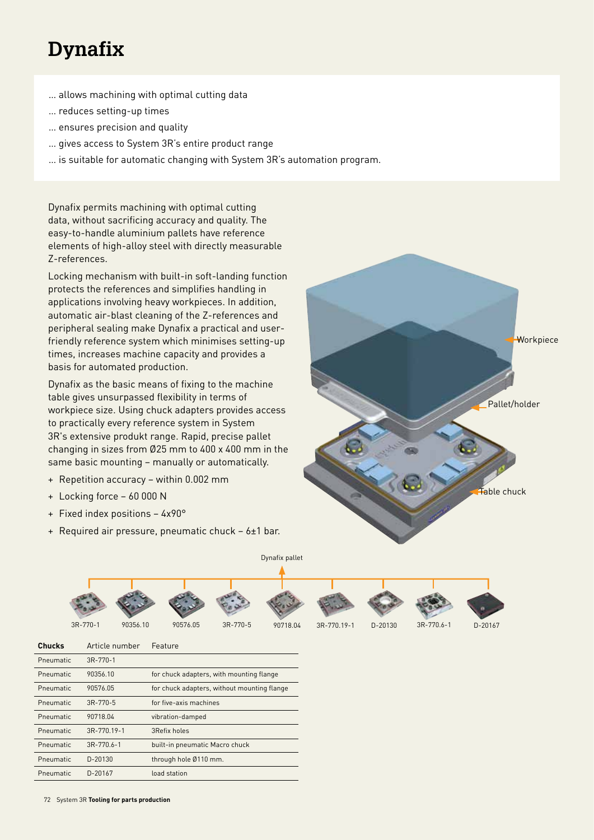# **Dynafix**

- … allows machining with optimal cutting data
- … reduces setting-up times
- … ensures precision and quality
- … gives access to System 3R's entire product range
- … is suitable for automatic changing with System 3R's automation program.

Dynafix permits machining with optimal cutting data, without sacrificing accuracy and quality. The easy-to-handle aluminium pallets have reference elements of high-alloy steel with directly measurable Z-references.

Locking mechanism with built-in soft-landing function protects the references and simplifies handling in applications involving heavy workpieces. In addition, automatic air-blast cleaning of the Z-references and peripheral sealing make Dynafix a practical and userfriendly reference system which minimises setting-up times, increases machine capacity and provides a basis for automated production.

Dynafix as the basic means of fixing to the machine table gives unsurpassed flexibility in terms of workpiece size. Using chuck adapters provides access to practically every reference system in System 3R's extensive produkt range. Rapid, precise pallet changing in sizes from Ø25 mm to 400 x 400 mm in the same basic mounting – manually or automatically.

- + Repetition accuracy within 0.002 mm
- + Locking force 60 000 N
- + Fixed index positions 4x90°
- + Required air pressure, pneumatic chuck 6±1 bar.





| <b>Chucks</b> | Article number   | Feature                                     |
|---------------|------------------|---------------------------------------------|
| Pneumatic     | $3R - 770 - 1$   |                                             |
| Pneumatic     | 90356.10         | for chuck adapters, with mounting flange    |
| Pneumatic     | 90576.05         | for chuck adapters, without mounting flange |
| Pneumatic     | $3R-770-5$       | for five-axis machines                      |
| Pneumatic     | 90718.04         | vibration-damped                            |
| Pneumatic     | 3R-770.19-1      | 3Refix holes                                |
| Pneumatic     | $3R - 770.6 - 1$ | built-in pneumatic Macro chuck              |
| Pneumatic     | D-20130          | through hole Ø110 mm.                       |
| Pneumatic     | D-20167          | load station                                |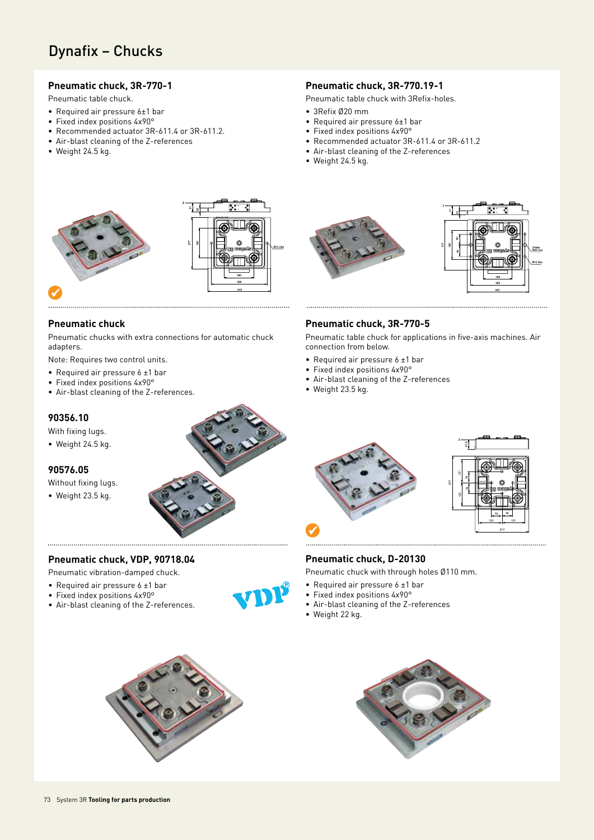# Dynafix – Chucks

#### **Pneumatic chuck, 3R-770-1**

Pneumatic table chuck.

- Required air pressure 6±1 bar
- Fixed index positions 4x90°
- Recommended actuator 3R-611.4 or 3R-611.2.
- Air-blast cleaning of the Z-references
- Weight 24.5 kg.

#### **Pneumatic chuck, 3R-770.19-1**

Pneumatic table chuck with 3Refix-holes.

- 3Refix Ø20 mm
- Required air pressure 6±1 bar
- Fixed index positions 4x90°
- Recommended actuator 3R-611.4 or 3R-611.2
- Air-blast cleaning of the Z-references
- Weight 24.5 kg.





#### **Pneumatic chuck**

Pneumatic chucks with extra connections for automatic chuck adapters.

Note: Requires two control units.

- Required air pressure 6 ±1 bar
- Fixed index positions 4x90°
- Air-blast cleaning of the Z-references.

#### **90356.10**

With fixing lugs.

• Weight 24.5 kg.

#### **90576.05**

Without fixing lugs.

• Weight 23.5 kg.



#### **Pneumatic chuck, VDP, 90718.04**

Pneumatic vibration-damped chuck.

- Required air pressure 6 ±1 bar
- Fixed index positions 4x90º
- Air-blast cleaning of the Z-references.









#### **Pneumatic chuck, 3R-770-5**

Pneumatic table chuck for applications in five-axis machines. Air connection from below.

- Required air pressure 6 ±1 bar
- Fixed index positions 4x90°
- Air-blast cleaning of the Z-references
- Weight 23.5 kg.





#### **Pneumatic chuck, D-20130**

Pneumatic chuck with through holes Ø110 mm.

• Air-blast cleaning of the Z-references

• Required air pressure 6 ±1 bar • Fixed index positions 4x90°

• Weight 22 kg.

73 System 3R **Tooling for parts production**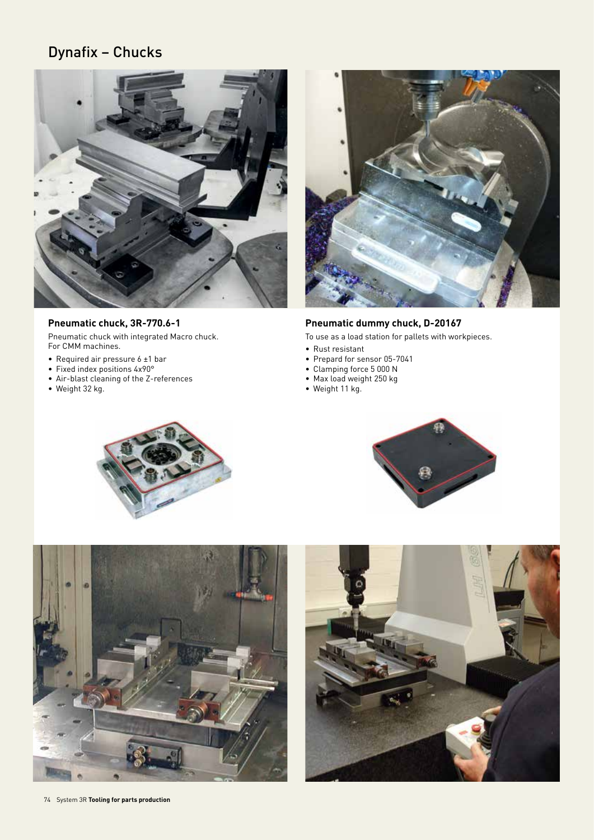# Dynafix – Chucks



### **Pneumatic chuck, 3R-770.6-1**

Pneumatic chuck with integrated Macro chuck. For CMM machines.

- Required air pressure 6 ±1 bar
- Fixed index positions 4x90°
- Air-blast cleaning of the Z-references
- Weight 32 kg.



### **Pneumatic dummy chuck, D-20167**

To use as a load station for pallets with workpieces.

- Rust resistant
- Prepard for sensor 05-7041
- Clamping force 5 000 N
- Max load weight 250 kg
- Weight 11 kg.







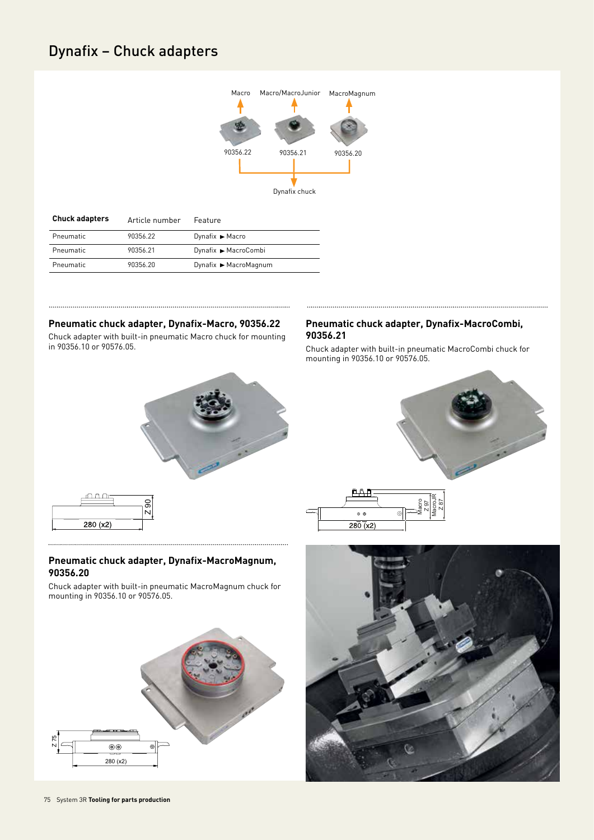# Dynafix – Chuck adapters



. . . . . . . .

| <b>Chuck adapters</b> | Article number | Feature               |
|-----------------------|----------------|-----------------------|
| Pneumatic             | 90356.22       | Dynafix ▶ Macro       |
| Pneumatic             | 90356.21       | Dynafix ▶ MacroCombi  |
| Pneumatic             | 90356.20       | Dynafix ▶ MacroMagnum |

#### **Pneumatic chuck adapter, Dynafix-Macro, 90356.22**

Chuck adapter with built-in pneumatic Macro chuck for mounting in 90356.10 or 90576.05.

#### **Pneumatic chuck adapter, Dynafix-MacroCombi, 90356.21**

Chuck adapter with built-in pneumatic MacroCombi chuck for mounting in 90356.10 or 90576.05.









#### **Pneumatic chuck adapter, Dynafix-MacroMagnum, 90356.20**

Chuck adapter with built-in pneumatic MacroMagnum chuck for mounting in 90356.10 or 90576.05.



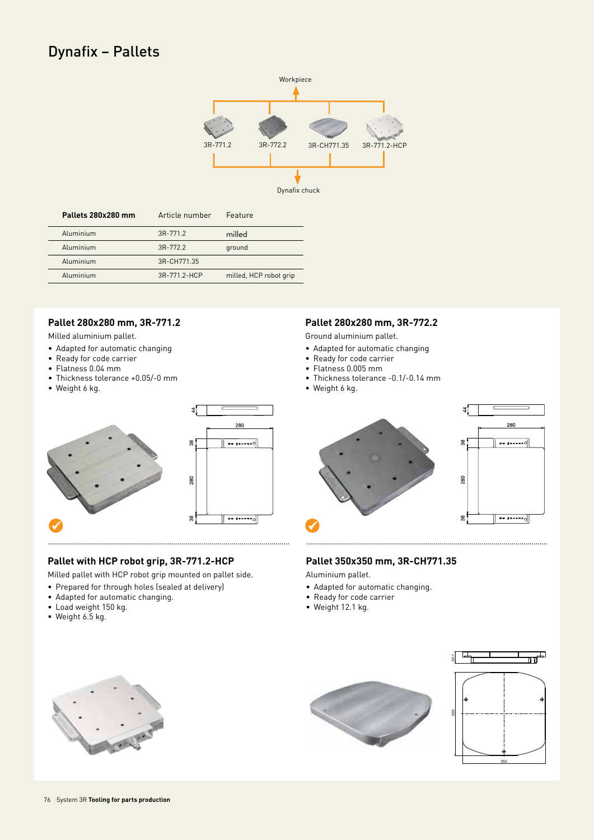# Dynafix – Pallets



| Pallets 280x280 mm | Article number | Feature                |
|--------------------|----------------|------------------------|
| Aluminium          | 3R-771.2       | milled                 |
| Aluminium          | $3R-7722$      | ground                 |
| Aluminium          | 3R-CH771.35    |                        |
| Aluminium          | 3R-771 2-HCP   | milled, HCP robot grip |

## **Pallet 280x280 mm, 3R-771.2**

Milled aluminium pallet.

- Adapted for automatic changing
- Ready for code carrier
- Flatness 0.04 mm
- Thickness tolerance +0.05/-0 mm
- Weight 6 kg.



### **Pallet with HCP robot grip, 3R-771.2-HCP**

Milled pallet with HCP robot grip mounted on pallet side.

- Prepared for through holes (sealed at delivery)
- Adapted for automatic changing.
- Load weight 150 kg.
- Weight 6.5 kg.

#### **Pallet 280x280 mm, 3R-772.2**

Ground aluminium pallet.

- Adapted for automatic changing
- Ready for code carrier
- Flatness 0.005 mm
- Thickness tolerance -0.1/-0.14 mm
- Weight 6 kg.



### **Pallet 350x350 mm, 3R-CH771.35**

Aluminium pallet.

- Adapted for automatic changing.
- Ready for code carrier
- Weight 12.1 kg.